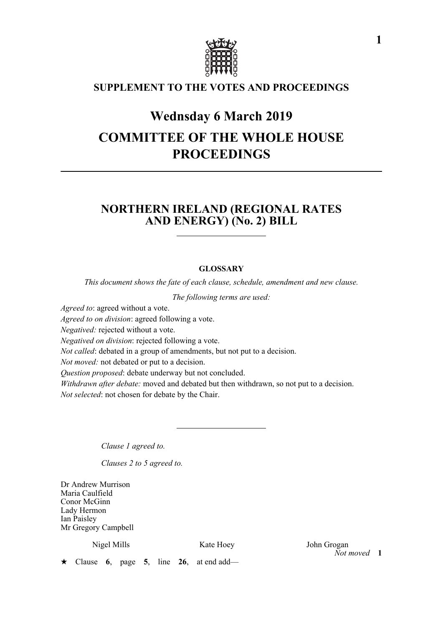

# **SUPPLEMENT TO THE VOTES AND PROCEEDINGS**

# **Wednsday 6 March 2019 COMMITTEE OF THE WHOLE HOUSE PROCEEDINGS**

# **NORTHERN IRELAND (REGIONAL RATES AND ENERGY) (No. 2) BILL**

## **GLOSSARY**

*This document shows the fate of each clause, schedule, amendment and new clause.*

*The following terms are used:*

*Agreed to*: agreed without a vote.

*Agreed to on division*: agreed following a vote.

*Negatived:* rejected without a vote.

*Negatived on division*: rejected following a vote.

*Not called*: debated in a group of amendments, but not put to a decision.

*Not moved:* not debated or put to a decision.

*Question proposed*: debate underway but not concluded.

*Withdrawn after debate:* moved and debated but then withdrawn, so not put to a decision. *Not selected*: not chosen for debate by the Chair.

*Clause 1 agreed to.*

*Clauses 2 to 5 agreed to.*

Dr Andrew Murrison Maria Caulfield Conor McGinn Lady Hermon Ian Paisley Mr Gregory Campbell

Nigel Mills **Kate Hoey** John Grogan *Not moved* **1**

Clause **6**, page **5**, line **26**, at end add—